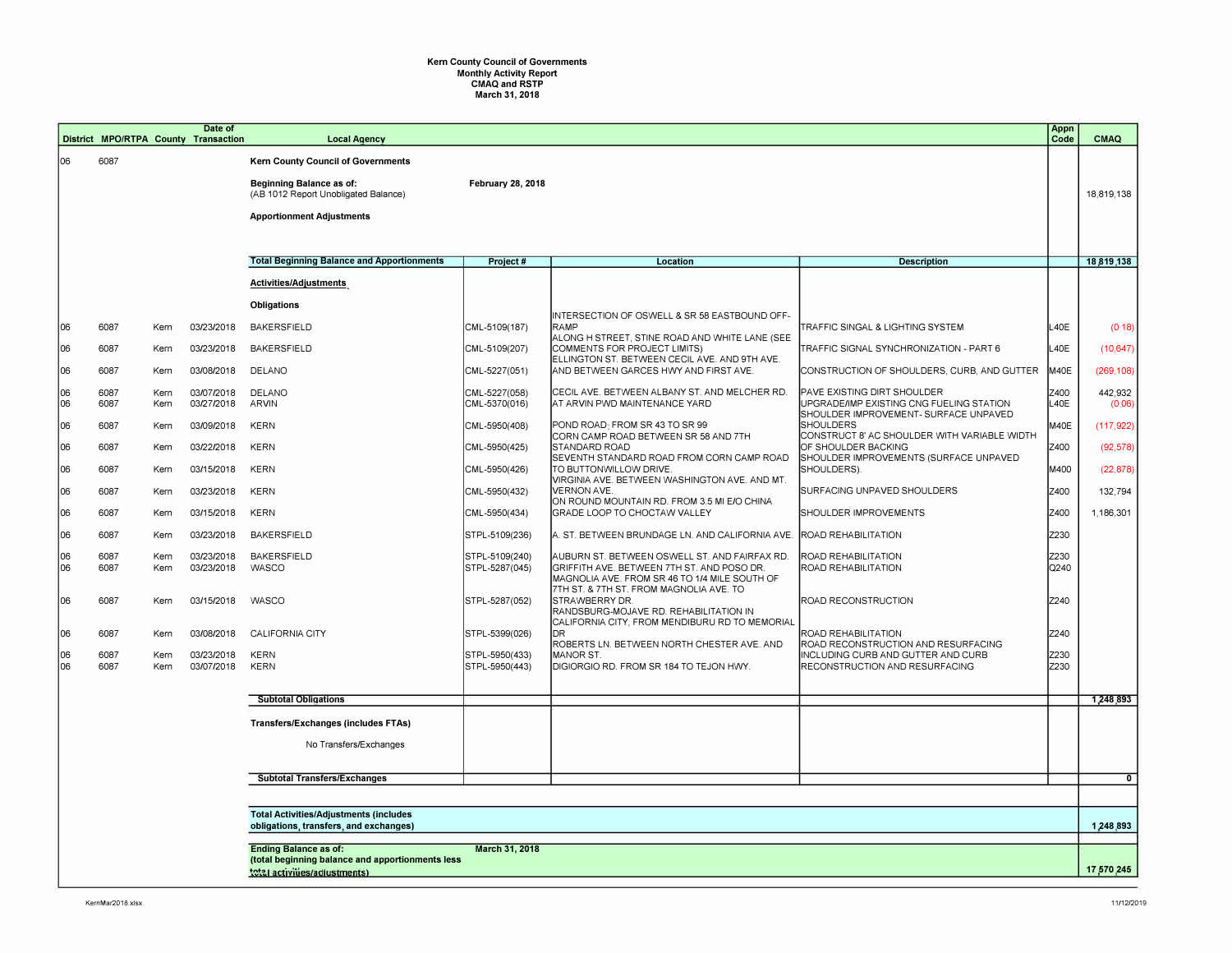## **Kern County Council of Governments Monthly Activity Report CMAQ and RSTP March 31, 2018**

|           |                                                                                                    |                                             |              | Date of<br>District MPO/RTPA County Transaction | <b>Local Agency</b>                                                     |                                  |                                                                                                                   |                                                                         | Appn<br>Code | <b>CMAQ</b>             |
|-----------|----------------------------------------------------------------------------------------------------|---------------------------------------------|--------------|-------------------------------------------------|-------------------------------------------------------------------------|----------------------------------|-------------------------------------------------------------------------------------------------------------------|-------------------------------------------------------------------------|--------------|-------------------------|
| 06        |                                                                                                    | 6087                                        |              |                                                 | <b>Kern County Council of Governments</b>                               |                                  |                                                                                                                   |                                                                         |              |                         |
|           |                                                                                                    |                                             |              |                                                 | <b>Beginning Balance as of:</b><br>(AB 1012 Report Unobligated Balance) | <b>February 28, 2018</b>         |                                                                                                                   |                                                                         |              | 18,819,138              |
|           |                                                                                                    |                                             |              |                                                 | <b>Apportionment Adjustments</b>                                        |                                  |                                                                                                                   |                                                                         |              |                         |
|           |                                                                                                    |                                             |              |                                                 |                                                                         |                                  |                                                                                                                   |                                                                         |              |                         |
|           |                                                                                                    |                                             |              |                                                 | <b>Total Beginning Balance and Apportionments</b>                       | Project #                        | <b>Location</b>                                                                                                   | <b>Description</b>                                                      |              | 18,819,138              |
|           |                                                                                                    |                                             |              |                                                 | Activities/Adjustments                                                  |                                  |                                                                                                                   |                                                                         |              |                         |
|           |                                                                                                    |                                             |              |                                                 | Obligations                                                             |                                  |                                                                                                                   |                                                                         |              |                         |
| 06        |                                                                                                    | 6087                                        | Kern         | 03/23/2018                                      | <b>BAKERSFIELD</b>                                                      | CML-5109(187)                    | INTERSECTION OF OSWELL & SR 58 EASTBOUND OFF-<br>RAMP<br>ALONG H STREET, STINE ROAD AND WHITE LANE (SEE           | TRAFFIC SINGAL & LIGHTING SYSTEM                                        | L40E         | (018)                   |
| 106       |                                                                                                    | 6087                                        | Kern         | 03/23/2018                                      | <b>BAKERSFIELD</b>                                                      | CML-5109(207)                    | COMMENTS FOR PROJECT LIMITS)<br>ELLINGTON ST. BETWEEN CECIL AVE. AND 9TH AVE.                                     | TRAFFIC SIGNAL SYNCHRONIZATION - PART 6                                 | L40E         | (10, 647)               |
| 06        |                                                                                                    | 6087                                        | Kern         | 03/08/2018                                      | DELANO                                                                  | CML-5227(051)                    | AND BETWEEN GARCES HWY AND FIRST AVE.                                                                             | CONSTRUCTION OF SHOULDERS, CURB, AND GUTTER                             | M40E         | (269, 108)              |
| 06<br>106 |                                                                                                    | 6087<br>6087                                | Kern<br>Kern | 03/07/2018<br>03/27/2018                        | <b>DELANO</b><br>ARVIN                                                  | CML-5227(058)<br>CML-5370(016)   | CECIL AVE. BETWEEN ALBANY ST. AND MELCHER RD.<br>AT ARVIN PWD MAINTENANCE YARD                                    | PAVE EXISTING DIRT SHOULDER<br>UPGRADE/IMP EXISTING CNG FUELING STATION | Z400<br>L40E | 442,932<br>(0.06)       |
| 106       |                                                                                                    | 6087                                        | Kern         | 03/09/2018                                      | <b>KERN</b>                                                             | CML-5950(408)                    | POND ROAD: FROM SR 43 TO SR 99                                                                                    | SHOULDER IMPROVEMENT- SURFACE UNPAVED<br><b>SHOULDERS</b>               | M40E         | (117, 922)              |
| 06        |                                                                                                    | 6087                                        | Kern         | 03/22/2018                                      | <b>KERN</b>                                                             | CML-5950(425)                    | CORN CAMP ROAD BETWEEN SR 58 AND 7TH<br><b>STANDARD ROAD</b>                                                      | CONSTRUCT 8' AC SHOULDER WITH VARIABLE WIDTH<br>OF SHOULDER BACKING     | Z400         | (92, 578)               |
| 06        |                                                                                                    | 6087                                        | Kern         | 03/15/2018                                      | <b>KERN</b>                                                             | CML-5950(426)                    | SEVENTH STANDARD ROAD FROM CORN CAMP ROAD<br>TO BUTTONWILLOW DRIVE.                                               | SHOULDER IMPROVEMENTS (SURFACE UNPAVED<br>SHOULDERS).                   | M400         | (22, 878)               |
| 06        |                                                                                                    | 6087                                        | Kern         | 03/23/2018                                      | <b>KERN</b>                                                             | CML-5950(432)                    | VIRGINIA AVE. BETWEEN WASHINGTON AVE. AND MT.<br><b>VERNON AVE</b><br>ON ROUND MOUNTAIN RD. FROM 3.5 MI E/O CHINA | SURFACING UNPAVED SHOULDERS                                             | Z400         | 132,794                 |
| 06        |                                                                                                    | 6087                                        | Kern         | 03/15/2018                                      | <b>KERN</b>                                                             | CML-5950(434)                    | <b>GRADE LOOP TO CHOCTAW VALLEY</b>                                                                               | <b>SHOULDER IMPROVEMENTS</b>                                            | Z400         | 1,186,301               |
| 06        |                                                                                                    | 6087                                        | Kern         | 03/23/2018                                      | <b>BAKERSFIELD</b>                                                      | STPL-5109(236)                   | A. ST. BETWEEN BRUNDAGE LN. AND CALIFORNIA AVE.                                                                   | ROAD REHABILITATION                                                     | Z230         |                         |
| 06<br>06  |                                                                                                    | 6087<br>6087                                | Kern<br>Kern | 03/23/2018<br>03/23/2018                        | <b>BAKERSFIELD</b><br><b>WASCO</b>                                      | STPL-5109(240)<br>STPL-5287(045) | AUBURN ST. BETWEEN OSWELL ST. AND FAIRFAX RD.<br>GRIFFITH AVE. BETWEEN 7TH ST. AND POSO DR.                       | ROAD REHABILITATION<br>ROAD REHABILITATION                              | Z230<br>Q240 |                         |
|           |                                                                                                    |                                             |              |                                                 |                                                                         |                                  | MAGNOLIA AVE. FROM SR 46 TO 1/4 MILE SOUTH OF<br>7TH ST. & 7TH ST. FROM MAGNOLIA AVE. TO                          |                                                                         |              |                         |
| 106       |                                                                                                    | 6087                                        | Kern         | 03/15/2018                                      | <b>WASCO</b>                                                            | STPL-5287(052)                   | STRAWBERRY DR.<br>RANDSBURG-MOJAVE RD. REHABILITATION IN<br>CALIFORNIA CITY, FROM MENDIBURU RD TO MEMORIAL        | ROAD RECONSTRUCTION                                                     | Z240         |                         |
| 06        |                                                                                                    | 6087                                        | Kern         | 03/08/2018                                      | CALIFORNIA CITY                                                         | STPL-5399(026)                   | IDR.<br>ROBERTS LN. BETWEEN NORTH CHESTER AVE. AND                                                                | ROAD REHABILITATION<br>ROAD RECONSTRUCTION AND RESURFACING              | Z240         |                         |
| 06<br>06  |                                                                                                    | 6087<br>6087                                | Kern<br>Kern | 03/23/2018<br>03/07/2018                        | <b>KERN</b><br><b>KERN</b>                                              | STPL-5950(433)<br>STPL-5950(443) | MANOR ST.<br>DIGIORGIO RD. FROM SR 184 TO TEJON HWY.                                                              | INCLUDING CURB AND GUTTER AND CURB<br>RECONSTRUCTION AND RESURFACING    | Z230<br>Z230 |                         |
|           |                                                                                                    |                                             |              |                                                 |                                                                         |                                  |                                                                                                                   |                                                                         |              |                         |
|           |                                                                                                    |                                             |              |                                                 | <b>Subtotal Obligations</b>                                             |                                  |                                                                                                                   |                                                                         |              | 1,248,893               |
|           |                                                                                                    |                                             |              |                                                 | <b>Transfers/Exchanges (includes FTAs)</b>                              |                                  |                                                                                                                   |                                                                         |              |                         |
|           |                                                                                                    |                                             |              |                                                 | No Transfers/Exchanges                                                  |                                  |                                                                                                                   |                                                                         |              |                         |
|           |                                                                                                    |                                             |              |                                                 | <b>Subtotal Transfers/Exchanges</b>                                     |                                  |                                                                                                                   |                                                                         |              | $\overline{\mathbf{0}}$ |
|           |                                                                                                    |                                             |              |                                                 |                                                                         |                                  |                                                                                                                   |                                                                         |              |                         |
|           | <b>Total Activities/Adjustments (includes</b><br>obligations, transfers, and exchanges)            |                                             |              |                                                 |                                                                         |                                  |                                                                                                                   |                                                                         |              |                         |
|           |                                                                                                    |                                             |              |                                                 |                                                                         |                                  |                                                                                                                   |                                                                         |              | 1,248,893               |
|           | March 31, 2018<br><b>Ending Balance as of:</b><br>(total beginning balance and apportionments less |                                             |              |                                                 |                                                                         |                                  |                                                                                                                   |                                                                         |              |                         |
|           |                                                                                                    | 17,570,245<br>total activities/adjustments) |              |                                                 |                                                                         |                                  |                                                                                                                   |                                                                         |              |                         |